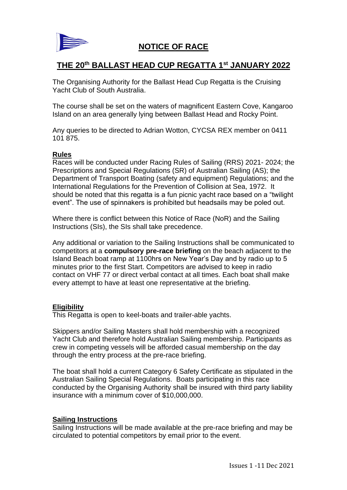

# **NOTICE OF RACE**

# **THE 20th BALLAST HEAD CUP REGATTA 1st JANUARY 2022**

The Organising Authority for the Ballast Head Cup Regatta is the Cruising Yacht Club of South Australia.

The course shall be set on the waters of magnificent Eastern Cove, Kangaroo Island on an area generally lying between Ballast Head and Rocky Point.

Any queries to be directed to Adrian Wotton, CYCSA REX member on 0411 101 875.

#### **Rules**

Races will be conducted under Racing Rules of Sailing (RRS) 2021- 2024; the Prescriptions and Special Regulations (SR) of Australian Sailing (AS); the Department of Transport Boating (safety and equipment) Regulations; and the International Regulations for the Prevention of Collision at Sea, 1972. It should be noted that this regatta is a fun picnic yacht race based on a "twilight event". The use of spinnakers is prohibited but headsails may be poled out.

Where there is conflict between this Notice of Race (NoR) and the Sailing Instructions (SIs), the SIs shall take precedence.

Any additional or variation to the Sailing Instructions shall be communicated to competitors at a **compulsory pre-race briefing** on the beach adjacent to the Island Beach boat ramp at 1100hrs on New Year's Day and by radio up to 5 minutes prior to the first Start. Competitors are advised to keep in radio contact on VHF 77 or direct verbal contact at all times. Each boat shall make every attempt to have at least one representative at the briefing.

## **Eligibility**

This Regatta is open to keel-boats and trailer-able yachts.

Skippers and/or Sailing Masters shall hold membership with a recognized Yacht Club and therefore hold Australian Sailing membership. Participants as crew in competing vessels will be afforded casual membership on the day through the entry process at the pre-race briefing.

The boat shall hold a current Category 6 Safety Certificate as stipulated in the Australian Sailing Special Regulations. Boats participating in this race conducted by the Organising Authority shall be insured with third party liability insurance with a minimum cover of \$10,000,000.

## **Sailing Instructions**

Sailing Instructions will be made available at the pre-race briefing and may be circulated to potential competitors by email prior to the event.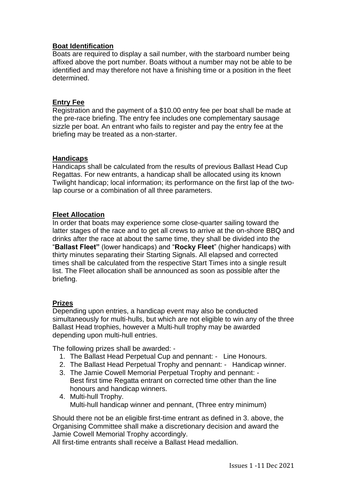## **Boat Identification**

Boats are required to display a sail number, with the starboard number being affixed above the port number. Boats without a number may not be able to be identified and may therefore not have a finishing time or a position in the fleet determined.

## **Entry Fee**

Registration and the payment of a \$10.00 entry fee per boat shall be made at the pre-race briefing. The entry fee includes one complementary sausage sizzle per boat. An entrant who fails to register and pay the entry fee at the briefing may be treated as a non-starter.

## **Handicaps**

Handicaps shall be calculated from the results of previous Ballast Head Cup Regattas. For new entrants, a handicap shall be allocated using its known Twilight handicap; local information; its performance on the first lap of the twolap course or a combination of all three parameters.

## **Fleet Allocation**

In order that boats may experience some close-quarter sailing toward the latter stages of the race and to get all crews to arrive at the on-shore BBQ and drinks after the race at about the same time, they shall be divided into the "**Ballast Fleet"** (lower handicaps) and "**Rocky Fleet**" (higher handicaps) with thirty minutes separating their Starting Signals. All elapsed and corrected times shall be calculated from the respective Start Times into a single result list. The Fleet allocation shall be announced as soon as possible after the briefing.

## **Prizes**

Depending upon entries, a handicap event may also be conducted simultaneously for multi-hulls, but which are not eligible to win any of the three Ballast Head trophies, however a Multi-hull trophy may be awarded depending upon multi-hull entries.

The following prizes shall be awarded: -

- 1. The Ballast Head Perpetual Cup and pennant: Line Honours.
- 2. The Ballast Head Perpetual Trophy and pennant: Handicap winner.
- 3. The Jamie Cowell Memorial Perpetual Trophy and pennant: Best first time Regatta entrant on corrected time other than the line honours and handicap winners.
- 4. Multi-hull Trophy. Multi-hull handicap winner and pennant, (Three entry minimum)

Should there not be an eligible first-time entrant as defined in 3. above, the Organising Committee shall make a discretionary decision and award the Jamie Cowell Memorial Trophy accordingly.

All first-time entrants shall receive a Ballast Head medallion.